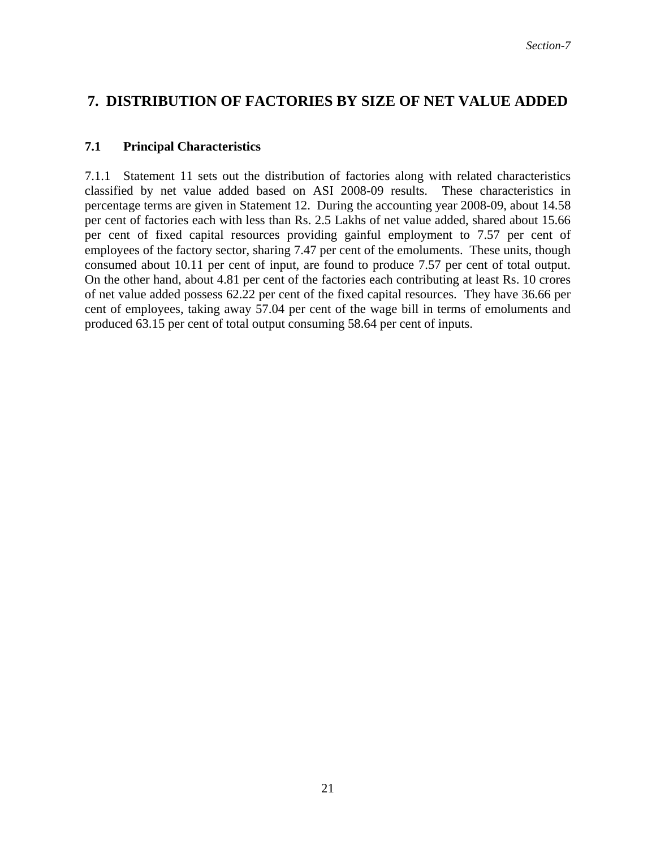## **7. DISTRIBUTION OF FACTORIES BY SIZE OF NET VALUE ADDED**

## **7.1 Principal Characteristics**

7.1.1 Statement 11 sets out the distribution of factories along with related characteristics classified by net value added based on ASI 2008-09 results. These characteristics in percentage terms are given in Statement 12. During the accounting year 2008-09, about 14.58 per cent of factories each with less than Rs. 2.5 Lakhs of net value added, shared about 15.66 per cent of fixed capital resources providing gainful employment to 7.57 per cent of employees of the factory sector, sharing 7.47 per cent of the emoluments. These units, though consumed about 10.11 per cent of input, are found to produce 7.57 per cent of total output. On the other hand, about 4.81 per cent of the factories each contributing at least Rs. 10 crores of net value added possess 62.22 per cent of the fixed capital resources. They have 36.66 per cent of employees, taking away 57.04 per cent of the wage bill in terms of emoluments and produced 63.15 per cent of total output consuming 58.64 per cent of inputs.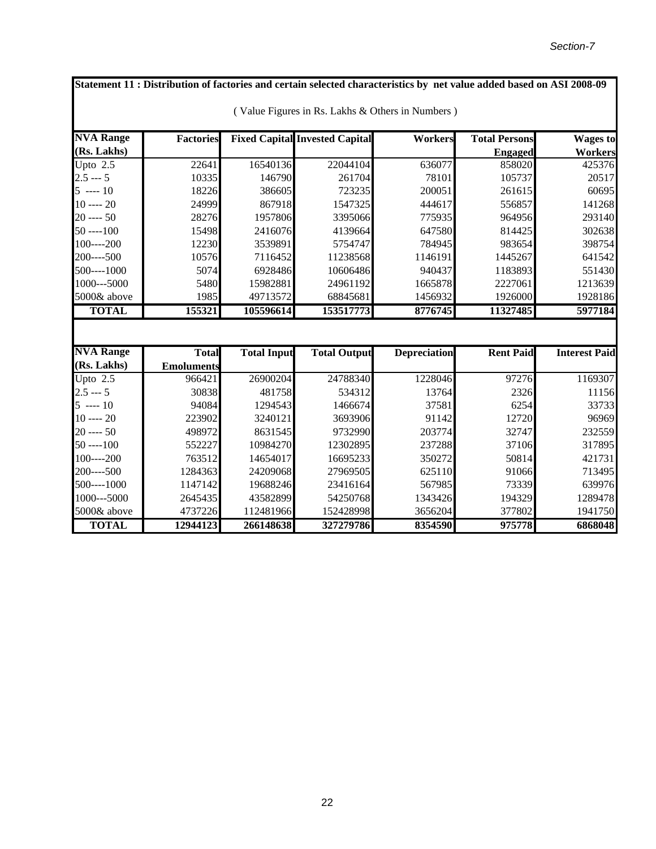**NVA Range (Rs. Lakhs)** Factories Fixed Capital Invested Capital **Workers** Total Persons **Engaged Wages to Workers** Upto 2.5 22641 16540136 22044104 636077 858020 425376 2.5 --- 5 10335 146790 261704 78101 105737 20517 5 ---- 10 18226 386605 723235 200051 261615 60695 10 ---- 20 24999 867918 1547325 444617 556857 141268 20 ---- 50 28276 1957806 3395066 775935 964956 293140 50 ----100 15498 2416076 4139664 647580 814425 302638 100----200 12230 3539891 5754747 784945 983654 398754 200----500 10576 7116452 11238568 1146191 1445267 641542 500----1000 5074 6928486 10606486 940437 1183893 551430 1000---5000 5480 15982881 24961192 1665878 2227061 1213639 5000& above 1985 49713572 68845681 1456932 1926000 1928186 **TOTAL 155321 105596614 153517773 8776745 11327485 5977184 NVA Range (Rs. Lakhs) Total Emoluments Total Input Total Output Depreciation Rent Paid Interest Paid** Upto 2.5 966421 26900204 24788340 1228046 97276 1169307 2.5 --- 5 30838 481758 534312 13764 2326 11156 5 ---- 10 94084 1294543 1466674 37581 6254 33733 10 ---- 20 223902 3240121 3693906 91142 12720 96969 20 ---- 50 498972 8631545 9732990 203774 32747 232559 50 ----100 552227 10984270 12302895 237288 37106 317895 100----200 763512 14654017 16695233 350272 50814 421731 200----500 1284363 24209068 27969505 625110 91066 713495 500----1000 1147142 19688246 23416164 567985 73339 639976 1000---5000 2645435 43582899 54250768 1343426 194329 1289478 5000& above 4737226 112481966 152428998 3656204 377802 1941750 **TOTAL 12944123 266148638 327279786 8354590 975778 6868048 Statement 11 : Distribution of factories and certain selected characteristics by net value added based on ASI 2008-09**  ( Value Figures in Rs. Lakhs & Others in Numbers )